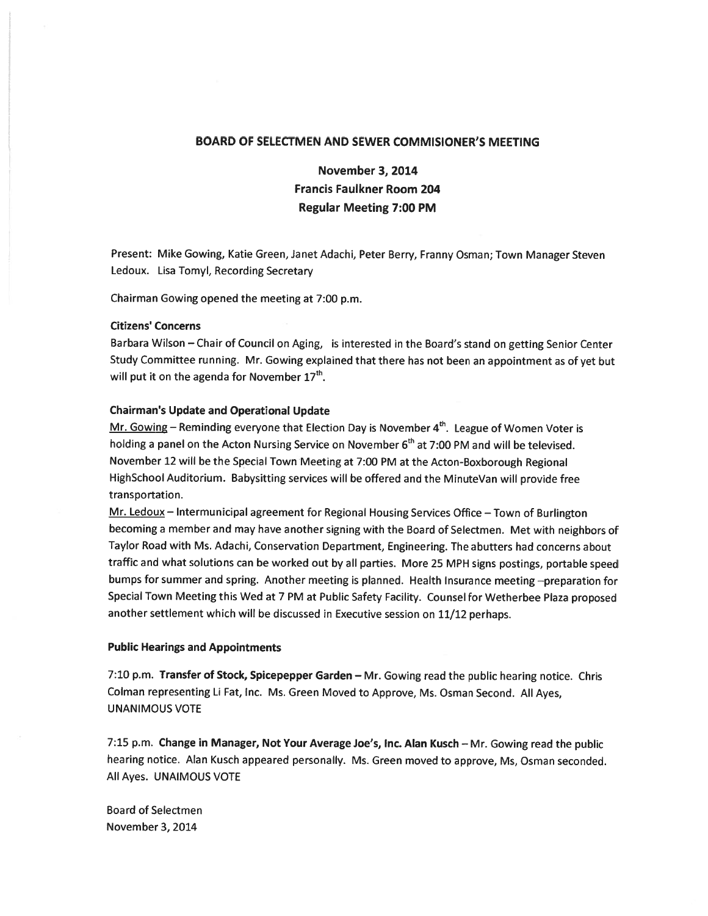## BOARD OF SELECTMEN AND SEWER COMMISIONER'S MEETING

# November 3, 2014 Francis Faulkner Room 204 Regular Meeting 7:00 PM

Present: Mike Gowing, Katie Green, Janet Adachi, Peter Berry, Franny Osman; Town Manager Steven Ledoux. Lisa Tomyl, Recording Secretary

Chairman Gowing opened the meeting at 7:00 p.m.

### Citizens' Concerns

Barbara Wilson — Chair of Council on Aging, is interested in the Board's stand on getting Senior Center Study Committee running. Mr. Gowing explained that there has not been an appointment as of ye<sup>t</sup> but will put it on the agenda for November  $17<sup>th</sup>$ .

### Chairman's Update and Operational Update

Mr. Gowing – Reminding everyone that Election Day is November  $4<sup>th</sup>$ . League of Women Voter is holding a panel on the Acton Nursing Service on November 6<sup>th</sup> at 7:00 PM and will be televised. November <sup>12</sup> will be the Special Town Meeting at 7:00 PM at the Acton-Boxborough Regional HighSchool Auditorium. Babysitting services will be offered and the MinuteVan will provide free transportation.

Mr. Ledoux - Intermunicipal agreement for Regional Housing Services Office - Town of Burlington becoming <sup>a</sup> member and may have another signing with the Board of Selectmen. Met with neighbors of Taylor Road with Ms. Adachi, Conservation Department, Engineering. The abutters had concerns about traffic and what solutions can be worked out by all parties. More <sup>25</sup> MPH signs postings, portable spee<sup>d</sup> bumps for summer and spring. Another meeting is <sup>p</sup>lanned. Health Insurance meeting —preparation for Special Town Meeting this Wed at <sup>7</sup> PM at Public Safety Facility. Counsel for Wetherbee Plaza propose<sup>d</sup> another settlement which will be discussed in Executive session on 11/12 perhaps.

### Public Hearings and Appointments

7:10 p.m. Transfer of Stock, Spicepepper Garden — Mr. Gowing read the public hearing notice. Chris Colman representing Li Fat, Inc. Ms. Green Moved to Approve, Ms. Osman Second. All Ayes, UNANIMOUS VOTE

7:15 p.m. Change in Manager, Not Your Average Joe's, Inc. Alan Kusch — Mr. Gowing read the public hearing notice. Alan Kusch appeare<sup>d</sup> personally. Ms. Green moved to approve, Ms, Osman seconded. All Ayes. UNAIMOUS VOTE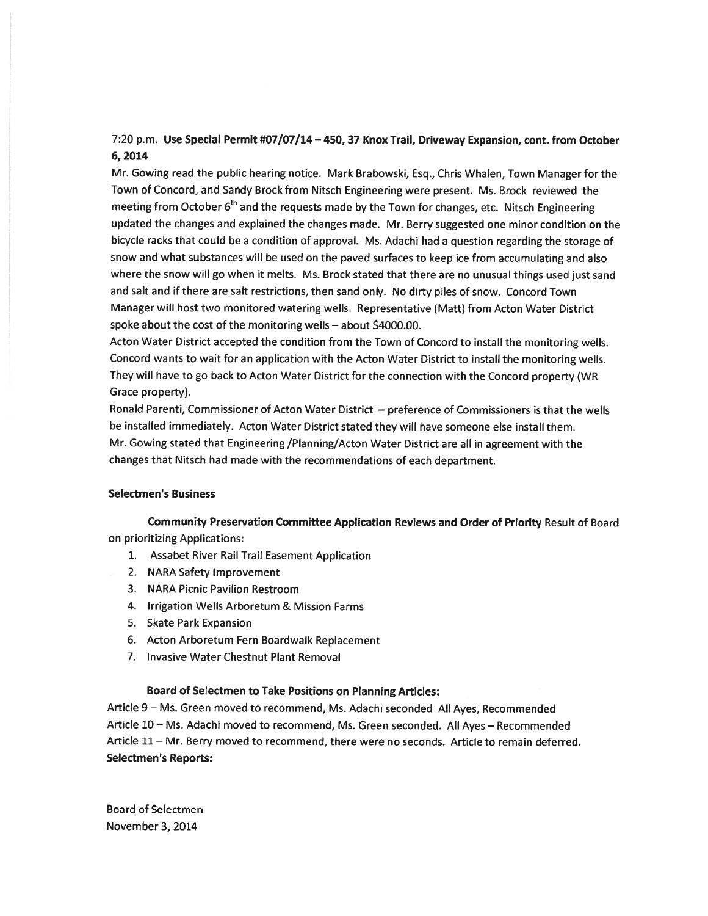## 7:20 p.m. Use Special Permit #07/07/14 —450, 37 Knox Trail, Driveway Expansion, cont. from October 6, 2014

Mr. Gowing read the public hearing notice. Mark Brabowski, Esq., Chris Whalen, Town Manager for the Town of Concord, and Sandy Brock from Nitsch Engineering were present. Ms. Brock reviewed the meeting from October 6<sup>th</sup> and the requests made by the Town for changes, etc. Nitsch Engineering updated the changes and explained the changes made. Mr. Berry suggested one minor condition on the bicycle racks that could be <sup>a</sup> condition of approval. Ms. Adachi had <sup>a</sup> question regarding the storage of snow and what substances will be used on the pave<sup>d</sup> surfaces to keep ice from accumulating and also where the snow will go when it melts. Ms. Brock stated that there are no unusual things used just sand and salt and if there are salt restrictions, then sand only. No dirty <sup>p</sup>iles of snow. Concord Town Manager will host two monitored watering wells. Representative (Matt) from Acton Water District spoke about the cost of the monitoring wells — about \$4000.00.

Acton Water District accepted the condition from the Town of Concord to install the monitoring wells. Concord wants to wait for an application with the Acton Water District to install the monitoring wells. They will have to go back to Acton Water District for the connection with the Concord property (WR Grace property).

Ronald Parenti, Commissioner of Acton Water District — preference of Commissioners is that the wells be installed immediately. Acton Water District stated they will have someone else install them. Mr. Gowing stated that Engineering /Planning/Acton Water District are all in agreemen<sup>t</sup> with the changes that Nitsch had made with the recommendations of each department.

### Selectmen's Business

Community Preservation Committee Application Reviews and Order of Priority Result of Board on prioritizing Applications:

- 1. Assabet River Rail Trail Easement Application
- 2. NARA Safety Improvement
- 3. NARA Picnic Pavilion Restroom
- 4. Irrigation Wells Arboretum & Mission Farms
- 5. Skate Park Expansion
- 6. Acton Arboretum Fern Boardwalk Replacement
- 7. Invasive Water Chestnut Plant Removal

## Board of Selectmen to Take Positions on Planning Articles:

Article <sup>9</sup> — Ms. Green moved to recommend, Ms. Adachi seconded All Ayes, Recommended Article 10— Ms. Adachi moved to recommend, Ms. Green seconded. All Ayes — Recommended Article 11— Mr. Berry moved to recommend, there were no seconds. Article to remain deferred. Selectmen's Reports: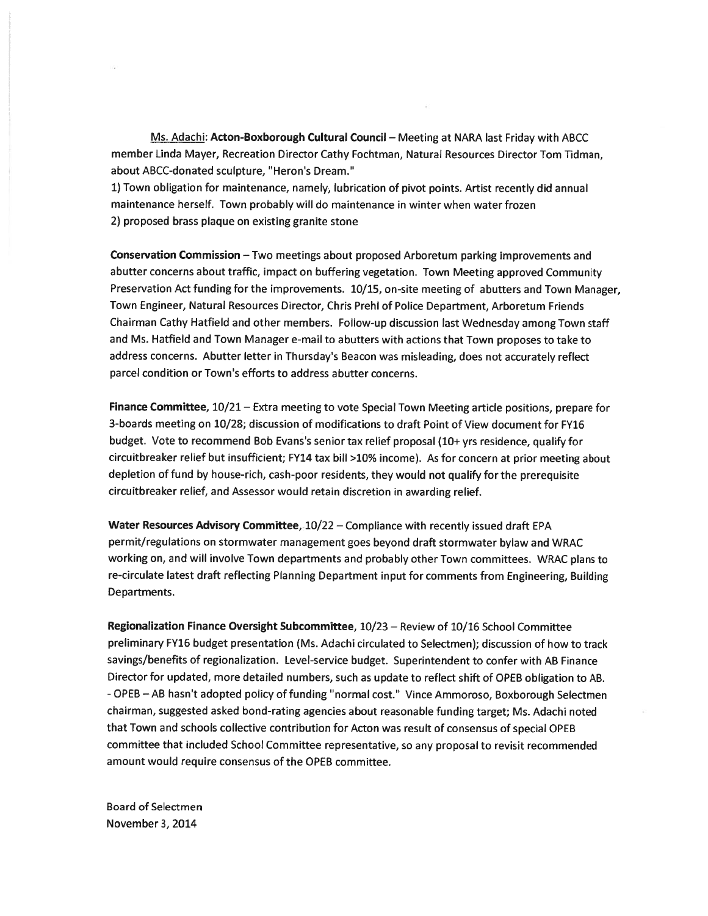Ms. Adachi: Acton-Boxborough Cultural Council — Meeting at NARA last Friday with ABCC member Linda Mayer, Recreation Director Cathy Fochtman, Natural Resources Director Tom Tidman, about ABCC-donated sculpture, "Heron's Dream."

1) Town obligation for maintenance, namely, lubrication of <sup>p</sup>ivot points. Artist recently did annual maintenance herself. Town probably will do maintenance in winter when water frozen 2) proposed brass plaque on existing granite stone

Conservation Commission —Two meetings about proposed Arboretum parking improvements and abutter concerns about traffic, impact on buffering vegetation. Town Meeting approved Community Preservation Act funding for the improvements. 10/15, on-site meeting of abutters and Town Manager, Town Engineer, Natural Resources Director, Chris Prehl of Police Department, Arboretum Friends Chairman Cathy Hatfield and other members. Follow-up discussion last Wednesday among Town staff and Ms. Hatfield and Town Manager e-mail to abutters with actions that Town proposes to take to address concerns. Abutter letter in Thursday's Beacon was misleading, does not accurately reflect parcel condition or Town's efforts to address abutter concerns.

Finance Committee, 10/21 - Extra meeting to vote Special Town Meeting article positions, prepare for 3-boards meeting on 10/28; discussion of modifications to draft Point of View document for FY16 budget. Vote to recommend Bob Evans's senior tax relief proposa<sup>l</sup> (10+ yrs residence, qualify for circuitbreaker relief but insufficient; FY14 tax bill >10% income). As for concern at prior meeting about depletion of fund by house-rich, cash-poor residents, they would not qualify for the prerequisite circuitbreaker relief, and Assessor would retain discretion in awarding relief.

Water Resources Advisory Committee, 10/22 — Compliance with recently issued draft EPA permit/regulations on stormwater managemen<sup>t</sup> goes beyond draft stormwater bylaw and WRAC working on, and will involve Town departments and probably other Town committees. WRAC <sup>p</sup>lans to re-circulate latest draft reflecting Planning Department input for comments from Engineering, Building Departments.

Regionalization Finance Oversight Subcommittee, 10/23 — Review of 10/16 School Committee preliminary FY16 budget presentation (Ms. Adachi circulated to Selectmen); discussion of how to track savings/benefits of regionalization. Level-service budget. Superintendent to confer with AB Finance Director for updated, more detailed numbers, such as update to reflect shift of OPEB obligation to AS. -OPEB — AS hasn't adopted policy of funding "normal cost." Vince Ammoroso, Boxborough Selectmen chairman, suggested asked bond-rating agencies about reasonable funding target; Ms. Adachi noted that Town and schools collective contribution for Acton was result of consensus of special OPEB committee that included School Committee representative, so any proposa<sup>l</sup> to revisit recommended amount would require consensus of the OPEB committee.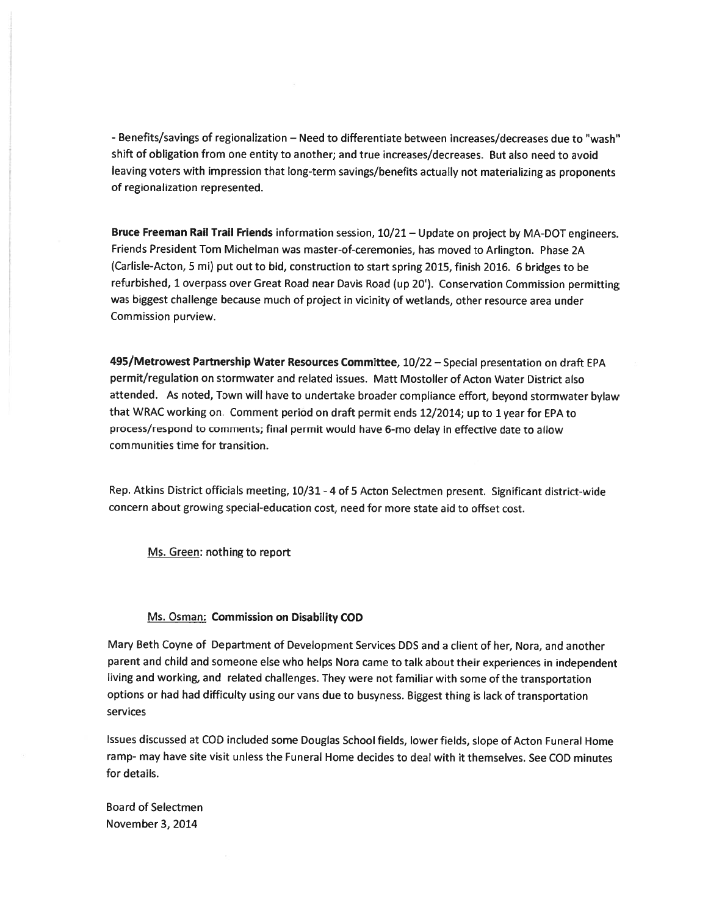- Benefits/savings of regionalization - Need to differentiate between increases/decreases due to "wash" shift of obligation from one entity to another; and true increases/decreases. But also need to avoid leaving voters with impression that long-term savings/benefits actually not materializing as proponents of regionalization represented.

Bruce Freeman Rail Trail Friends information session, 10/21 - Update on project by MA-DOT engineers. Friends President Tom Michelman was master-of-ceremonies, has moved to Arlington. Phase 2A (Carlisle-Acton, <sup>5</sup> mi) pu<sup>t</sup> out to bid, construction to start spring 2015, finish 2016. <sup>6</sup> bridges to be refurbished, <sup>1</sup> overpass over Great Road near Davis Road (up 20'). Conservation Commission permitting was biggest challenge because much of project in vicinity of wetlands, other resource area under Commission purview.

495/Metrowest Partnership Water Resources Committee, 10/22 — Special presentation on draft EPA permit/regulation on stormwater and related issues. Matt Mostoller of Acton Water District also attended. As noted, Town will have to undertake broader compliance effort, beyond stormwater bylaw that WRAC working on. Comment period on draft permit ends 12/2014; up to <sup>1</sup> year for EPA to process/respond to comments; final permit would have 6-mo delay in effective date to allow communities time for transition.

Rep. Atkins District officials meeting, 10/31 -4 of <sup>5</sup> Acton Selectmen present. Significant district-wide concern about growing special-education cost, need for more state aid to offset cost.

Ms. Green: nothing to repor<sup>t</sup>

### Ms. Osman: Commission on Disability COD

Mary Beth Coyne of Department of Development Services DDS and <sup>a</sup> client of her, Nora, and another paren<sup>t</sup> and child and someone else who helps Nora came to talk about their experiences in independent living and working, and related challenges. They were not familiar with some of the transportation options or had had difficulty using our vans due to busyness. Biggest thing is lack of transportation services

Issues discussed at COD included some Douglas School fields, lower fields, slope of Acton Funeral Home ramp- may have site visit unless the Funeral Home decides to deal with it themselves. See COD minutes for details.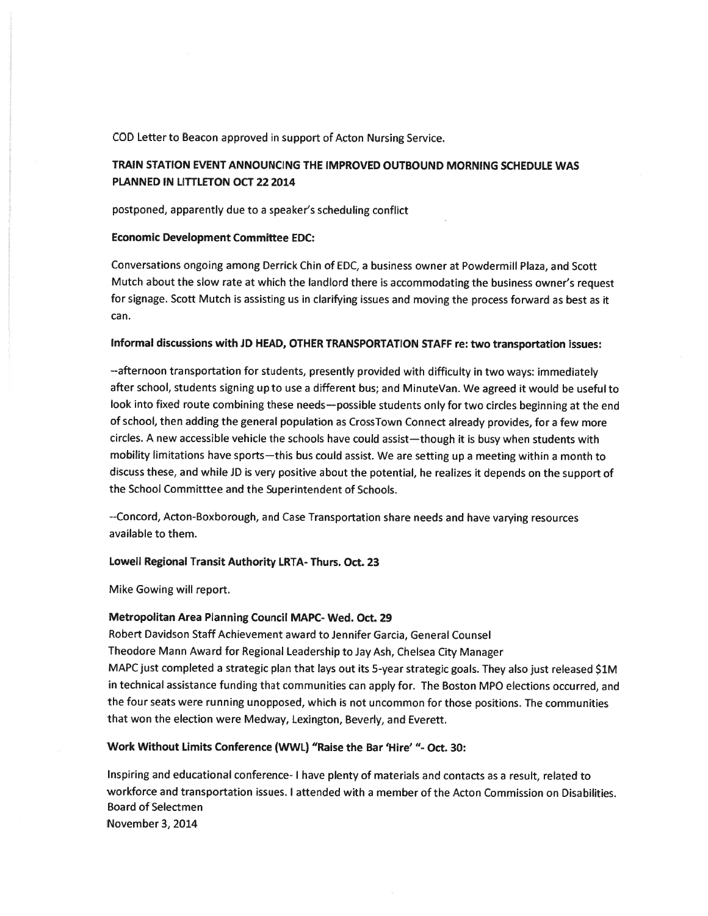COD Letter to Beacon approved in suppor<sup>t</sup> of Acton Nursing Service.

## TRAIN STATION EVENT ANNOUNCING THE IMPROVED OUTBOUND MORNING SCHEDULE WAS PLANNED IN LITTLETON OCT 22 2014

postponed, apparently due to <sup>a</sup> speaker's scheduling conflict

### Economic Development Committee EDC:

Conversations ongoing among Derrick Chin of EDC, <sup>a</sup> business owner at Powdermill Plaza, and Scott Mutch about the slow rate at which the landlord there is accommodating the business owner's reques<sup>t</sup> for signage. Scott Mutch is assisting us in clarifying issues and moving the process forward as best as it can.

### Informal discussions with JD HEAD, OTHER TRANSPORTATION STAFF re: two transportation issues:

--afternoon transportation for students, presently provided with difficulty in two ways: immediately after school, students signing up to use <sup>a</sup> different bus; and MinuteVan. We agree<sup>d</sup> it would be useful to look into fixed route combining these needs—possible students only for two circles beginning at the end of school, then adding the genera<sup>l</sup> population as CrossTown Connect already provides, for <sup>a</sup> few more circles. <sup>A</sup> new accessible vehicle the schools have could assist—though it is busy when students with mobility limitations have sports—this bus could assist. We are setting up <sup>a</sup> meeting within <sup>a</sup> month to discuss these, and while JD is very positive about the potential, he realizes it depends on the suppor<sup>t</sup> of the School Committtee and the Superintendent of Schools.

--Concord, Acton-Boxborough, and Case Transportation share needs and have varying resources available to them.

### Lowell Regional Transit Authority LRTA- Thurs. Oct. 23

Mike Gowing will report.

### Metropolitan Area Planning Council MAPC- Wed. Oct. 29

Robert Davidson Staff Achievement award to Jennifer Garcia, General Counsel Theodore Mann Award for Regional Leadership to Jay Ash, Chelsea City Manager MAPC just completed <sup>a</sup> strategic <sup>p</sup>lan that lays out its 5-year strategic goals. They also just released S1M in technical assistance funding that communities can apply for. The Boston MPO elections occurred, and the four seats were running unopposed, which is not uncommon for those positions. The communities that won the election were Medway, Lexington, Beverly, and Everett.

### Work Without Limits Conference (WWL) "Raise the Bar 'Hire' "- Oct. 30:

Inspiring and educational conference- <sup>I</sup> have plenty of materials and contacts as <sup>a</sup> result, related to workforce and transportation issues. I attended with <sup>a</sup> member of the Acton Commission on Disabilities. Board of Selectmen November 3, 2014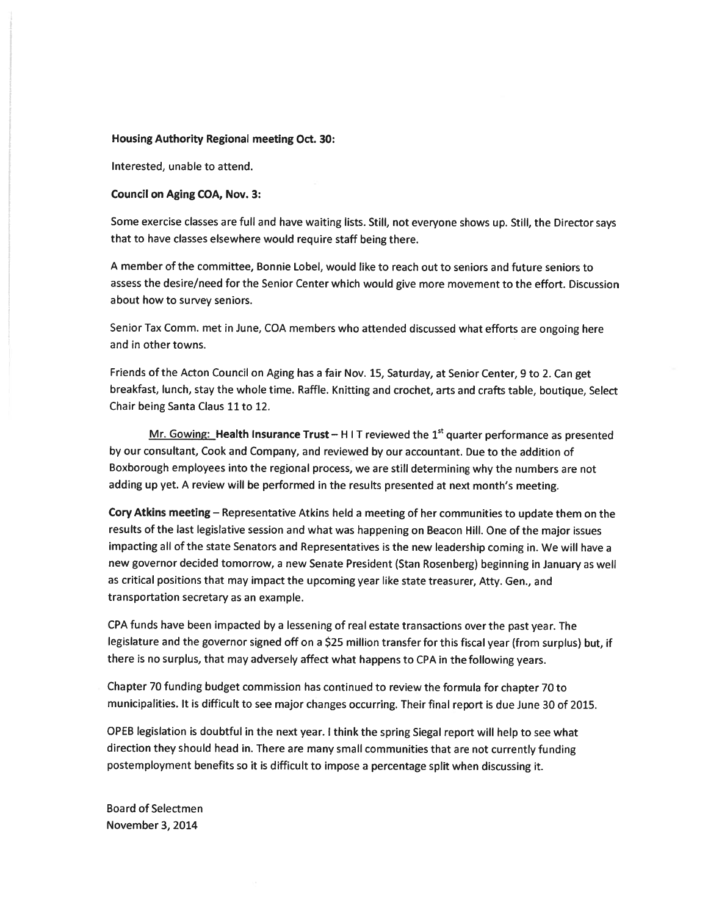#### Housing Authority Regional meeting Oct. 30:

Interested, unable to attend.

### Council on Aging COA, Nov. 3:

Some exercise classes are full and have waiting lists. Still, not everyone shows up. Still, the Director says that to have classes elsewhere would require staff being there.

A member of the committee, Bonnie Lobel, would like to reach out to seniors and future seniors to assess the desire/need for the Senior Center which would <sup>g</sup>ive more movement to the effort. Discussion about how to survey seniors.

Senior Tax Comm. met in June, COA members who attended discussed what efforts are ongoing here and in other towns.

Friends of the Acton Council on Aging has <sup>a</sup> fair Nov. 15, Saturday, at Senior Center, <sup>9</sup> to 2. Can ge<sup>t</sup> breakfast, lunch, stay the whole time. Raffle. Knitting and crochet, arts and crafts table, boutique, Select Chair being Santa Claus 11 to 12.

Mr. Gowing: Health Insurance Trust – H I T reviewed the  $1<sup>st</sup>$  quarter performance as presented by our consultant, Cook and Company, and reviewed by our accountant. Due to the addition of Boxborough employees into the regional process, we are still determining why the numbers are not adding up yet. <sup>A</sup> review will be performed in the results presented at next month's meeting.

Cory Atkins meeting — Representative Atkins held <sup>a</sup> meeting of her communities to update them on the results of the last legislative session and what was happening on Beacon Hill. One of the major issues impacting all of the state Senators and Representatives is the new leadership coming in. We will have <sup>a</sup> new governor decided tomorrow, <sup>a</sup> new Senate President (Stan Rosenberg) beginning in January as well as critical positions that may impact the upcoming year like state treasurer, Atty. Gen., and transportation secretary as an example.

CPA funds have been impacted by <sup>a</sup> lessening of real estate transactions over the pas<sup>t</sup> year. The legislature and the governor signed off on <sup>a</sup> \$25 million transfer for this fiscal year (from surplus) but, if there is no surplus, that may adversely affect what happens to CPA in the following years.

Chapter <sup>70</sup> funding budget commission has continued to review the formula for chapter <sup>70</sup> to municipalities, It is difficult to see major changes occurring. Their final repor<sup>t</sup> is due June <sup>30</sup> of 2015.

OPEB legislation is doubtful in the next year. <sup>I</sup> think the spring Siegal repor<sup>t</sup> will help to see what direction they should head in. There are many small communities that are not currently funding postemployment benefits so it is difficult to impose <sup>a</sup> percentage split when discussing it.